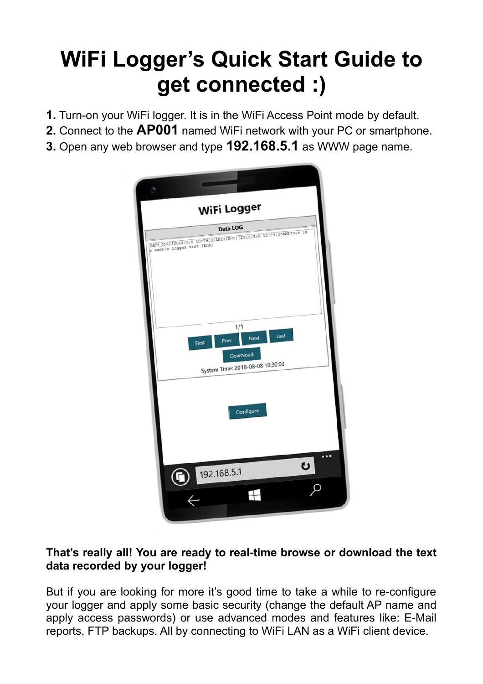# **WiFi Logger's Quick Start Guide to get connected :)**

- **1.** Turn-on your WiFi logger. It is in the WiFi Access Point mode by default.
- **2.** Connect to the **AP001** named WiFi network with your PC or smartphone.
- **3.** Open any web browser and type **192.168.5.1** as WWW page name.



#### **That's really all! You are ready to real-time browse or download the text data recorded by your logger!**

But if you are looking for more it's good time to take a while to re-configure your logger and apply some basic security (change the default AP name and apply access passwords) or use advanced modes and features like: E-Mail reports, FTP backups. All by connecting to WiFi LAN as a WiFi client device.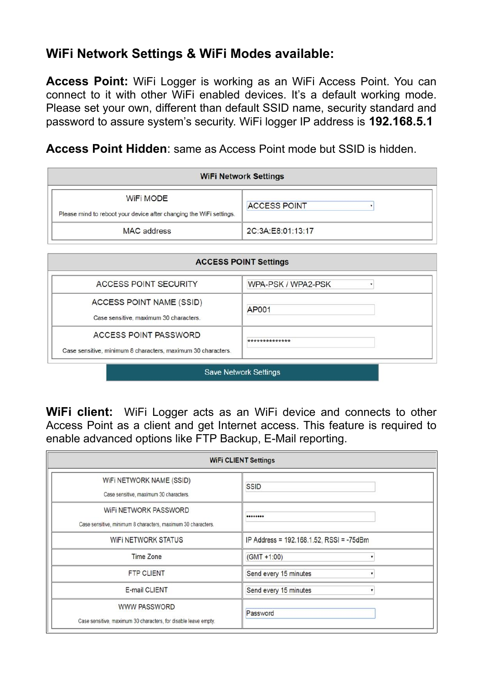### **WiFi Network Settings & WiFi Modes available:**

**Access Point:** WiFi Logger is working as an WiFi Access Point. You can connect to it with other WiFi enabled devices. It's a default working mode. Please set your own, different than default SSID name, security standard and password to assure system's security. WiFi logger IP address is **192.168.5.1**

**Access Point Hidden**: same as Access Point mode but SSID is hidden.

| <b>WiFi Network Settings</b>                                                     |                     |  |
|----------------------------------------------------------------------------------|---------------------|--|
| WiFi MODE<br>Please mind to reboot your device after changing the WiFi settings. | <b>ACCESS POINT</b> |  |
| MAC address                                                                      | 2C:3A:E8:01:13:17   |  |

| <b>ACCESS POINT SECURITY</b>                                                          | WPA-PSK / WPA2-PSK |
|---------------------------------------------------------------------------------------|--------------------|
| ACCESS POINT NAME (SSID)<br>Case sensitive, maximum 30 characters.                    | <b>AP001</b>       |
| ACCESS POINT PASSWORD<br>Case sensitive, minimum 8 characters, maximum 30 characters. | **************     |

**WiFi client:** WiFi Logger acts as an WiFi device and connects to other Access Point as a client and get Internet access. This feature is required to

enable advanced options like FTP Backup, E-Mail reporting.

| <b>WIFI CLIENT Settings</b>                                                            |                                          |  |
|----------------------------------------------------------------------------------------|------------------------------------------|--|
| WIFI NETWORK NAME (SSID)<br>Case sensitive, maximum 30 characters.                     | <b>SSID</b>                              |  |
| WIFI NETWORK PASSWORD<br>Case sensitive, minimum 8 characters, maximum 30 characters.  |                                          |  |
| WIFI NETWORK STATUS                                                                    | IP Address = 192.168.1.52, RSSI = -75dBm |  |
| Time Zone                                                                              | $(GMT + 1:00)$                           |  |
| <b>FTP CLIENT</b>                                                                      | Send every 15 minutes                    |  |
| E-mail CLIENT                                                                          | Send every 15 minutes                    |  |
| <b>WWW PASSWORD</b><br>Case sensitive, maximum 30 characters, for disable leave empty. | Password                                 |  |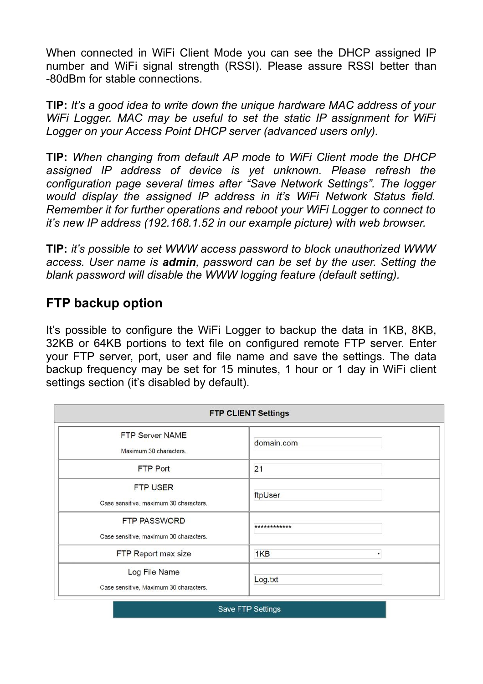When connected in WiFi Client Mode you can see the DHCP assigned IP number and WiFi signal strength (RSSI). Please assure RSSI better than -80dBm for stable connections.

**TIP:** *It's a good idea to write down the unique hardware MAC address of your WiFi Logger. MAC may be useful to set the static IP assignment for WiFi Logger on your Access Point DHCP server (advanced users only).*

**TIP:** *When changing from default AP mode to WiFi Client mode the DHCP assigned IP address of device is yet unknown. Please refresh the configuration page several times after "Save Network Settings". The logger would display the assigned IP address in it's WiFi Network Status field. Remember it for further operations and reboot your WiFi Logger to connect to it's new IP address (192.168.1.52 in our example picture) with web browser.*

**TIP:** *it's possible to set WWW access password to block unauthorized WWW access. User name is admin, password can be set by the user. Setting the blank password will disable the WWW logging feature (default setting).* 

#### **FTP backup option**

It's possible to configure the WiFi Logger to backup the data in 1KB, 8KB, 32KB or 64KB portions to text file on configured remote FTP server. Enter your FTP server, port, user and file name and save the settings. The data backup frequency may be set for 15 minutes, 1 hour or 1 day in WiFi client settings section (it's disabled by default).

| <b>FTP CLIENT Settings</b>                                    |              |  |
|---------------------------------------------------------------|--------------|--|
| <b>FTP Server NAME</b><br>Maximum 30 characters.              | domain.com   |  |
| FTP Port                                                      | 21           |  |
| FTP USER<br>Case sensitive, maximum 30 characters.            | ftpUser      |  |
| <b>FTP PASSWORD</b><br>Case sensitive, maximum 30 characters. | ************ |  |
| FTP Report max size                                           | 1KB          |  |
| Log File Name<br>Case sensitive, Maximum 30 characters.       | Log.txt      |  |